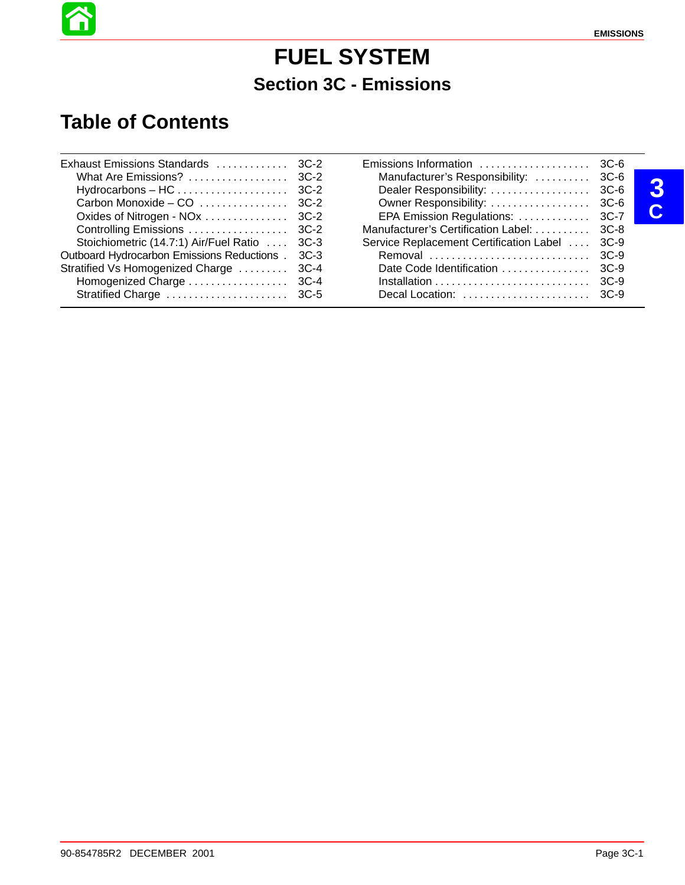# **FUEL SYSTEM Section 3C - Emissions**

## **Table of Contents**

| Exhaust Emissions Standards  3C-2                |                                               |   |
|--------------------------------------------------|-----------------------------------------------|---|
|                                                  | Manufacturer's Responsibility:  3C-6          |   |
|                                                  |                                               | 3 |
|                                                  |                                               |   |
|                                                  | EPA Emission Regulations:  3C-7               | U |
|                                                  | Manufacturer's Certification Label:  3C-8     |   |
| Stoichiometric (14.7:1) Air/Fuel Ratio  3C-3     | Service Replacement Certification Label  3C-9 |   |
| Outboard Hydrocarbon Emissions Reductions . 3C-3 | Removal  3C-9                                 |   |
| Stratified Vs Homogenized Charge  3C-4           |                                               |   |
|                                                  |                                               |   |
|                                                  |                                               |   |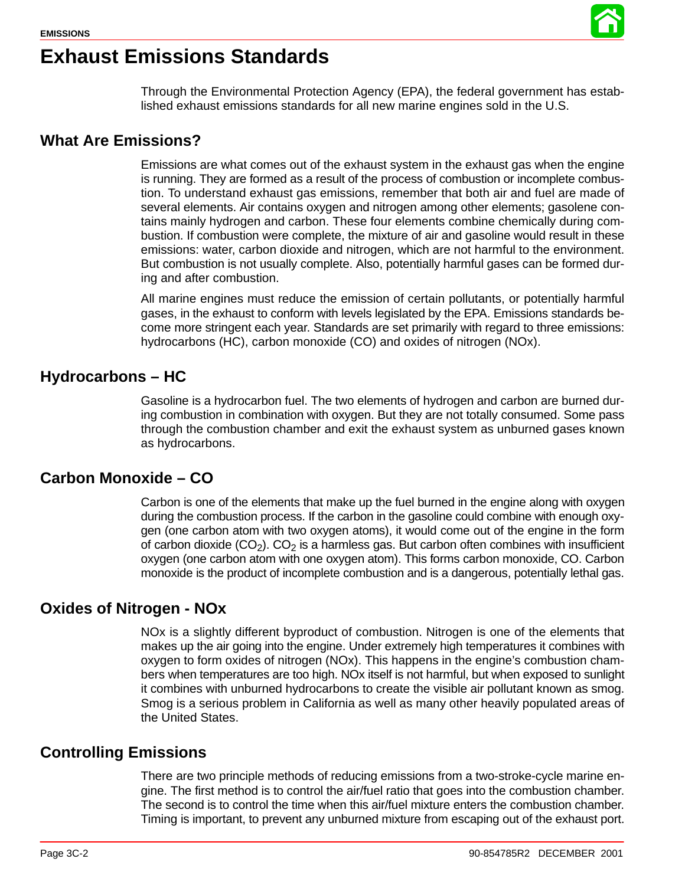

## **Exhaust Emissions Standards**

Through the Environmental Protection Agency (EPA), the federal government has established exhaust emissions standards for all new marine engines sold in the U.S.

### **What Are Emissions?**

Emissions are what comes out of the exhaust system in the exhaust gas when the engine is running. They are formed as a result of the process of combustion or incomplete combustion. To understand exhaust gas emissions, remember that both air and fuel are made of several elements. Air contains oxygen and nitrogen among other elements; gasolene contains mainly hydrogen and carbon. These four elements combine chemically during combustion. If combustion were complete, the mixture of air and gasoline would result in these emissions: water, carbon dioxide and nitrogen, which are not harmful to the environment. But combustion is not usually complete. Also, potentially harmful gases can be formed during and after combustion.

All marine engines must reduce the emission of certain pollutants, or potentially harmful gases, in the exhaust to conform with levels legislated by the EPA. Emissions standards become more stringent each year. Standards are set primarily with regard to three emissions: hydrocarbons (HC), carbon monoxide (CO) and oxides of nitrogen (NOx).

### **Hydrocarbons – HC**

Gasoline is a hydrocarbon fuel. The two elements of hydrogen and carbon are burned during combustion in combination with oxygen. But they are not totally consumed. Some pass through the combustion chamber and exit the exhaust system as unburned gases known as hydrocarbons.

### **Carbon Monoxide – CO**

Carbon is one of the elements that make up the fuel burned in the engine along with oxygen during the combustion process. If the carbon in the gasoline could combine with enough oxygen (one carbon atom with two oxygen atoms), it would come out of the engine in the form of carbon dioxide  $(CO<sub>2</sub>)$ .  $CO<sub>2</sub>$  is a harmless gas. But carbon often combines with insufficient oxygen (one carbon atom with one oxygen atom). This forms carbon monoxide, CO. Carbon monoxide is the product of incomplete combustion and is a dangerous, potentially lethal gas.

### **Oxides of Nitrogen - NOx**

NOx is a slightly different byproduct of combustion. Nitrogen is one of the elements that makes up the air going into the engine. Under extremely high temperatures it combines with oxygen to form oxides of nitrogen (NOx). This happens in the engine's combustion chambers when temperatures are too high. NOx itself is not harmful, but when exposed to sunlight it combines with unburned hydrocarbons to create the visible air pollutant known as smog. Smog is a serious problem in California as well as many other heavily populated areas of the United States.

### **Controlling Emissions**

There are two principle methods of reducing emissions from a two-stroke-cycle marine engine. The first method is to control the air/fuel ratio that goes into the combustion chamber. The second is to control the time when this air/fuel mixture enters the combustion chamber. Timing is important, to prevent any unburned mixture from escaping out of the exhaust port.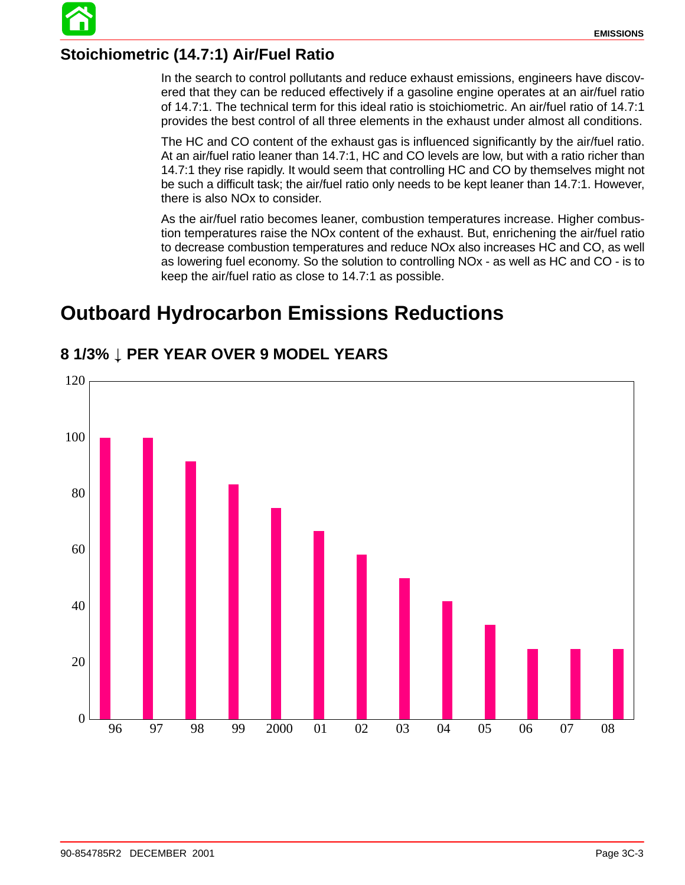

### **Stoichiometric (14.7:1) Air/Fuel Ratio**

In the search to control pollutants and reduce exhaust emissions, engineers have discovered that they can be reduced effectively if a gasoline engine operates at an air/fuel ratio of 14.7:1. The technical term for this ideal ratio is stoichiometric. An air/fuel ratio of 14.7:1 provides the best control of all three elements in the exhaust under almost all conditions.

The HC and CO content of the exhaust gas is influenced significantly by the air/fuel ratio. At an air/fuel ratio leaner than 14.7:1, HC and CO levels are low, but with a ratio richer than 14.7:1 they rise rapidly. It would seem that controlling HC and CO by themselves might not be such a difficult task; the air/fuel ratio only needs to be kept leaner than 14.7:1. However, there is also NOx to consider.

As the air/fuel ratio becomes leaner, combustion temperatures increase. Higher combustion temperatures raise the NOx content of the exhaust. But, enrichening the air/fuel ratio to decrease combustion temperatures and reduce NOx also increases HC and CO, as well as lowering fuel economy. So the solution to controlling NOx - as well as HC and CO - is to keep the air/fuel ratio as close to 14.7:1 as possible.

## **Outboard Hydrocarbon Emissions Reductions**



### **8 1/3% PER YEAR OVER 9 MODEL YEARS**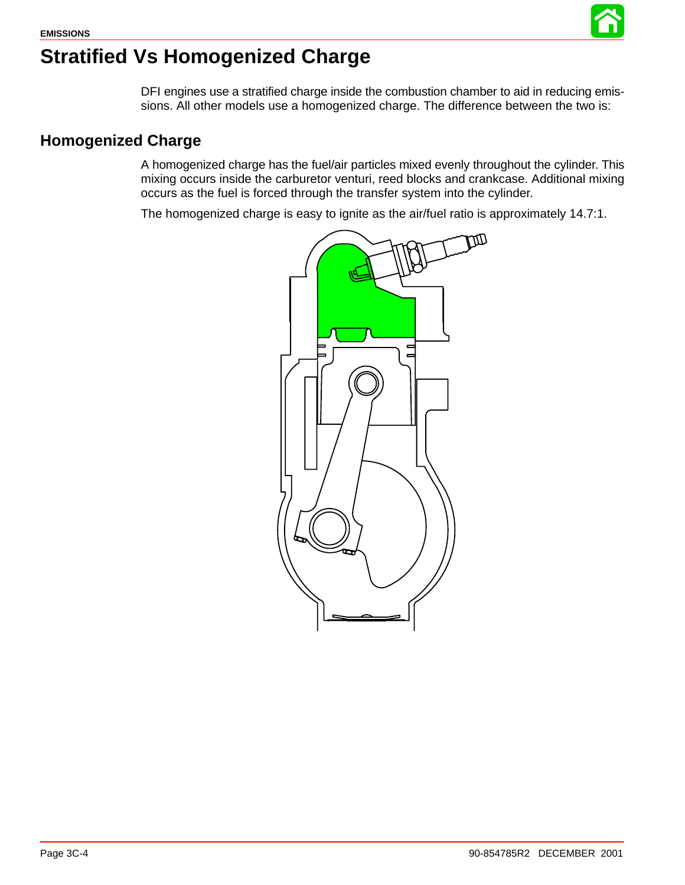

# <span id="page-3-0"></span>**Stratified Vs Homogenized Charge**

DFI engines use a stratified charge inside the combustion chamber to aid in reducing emissions. All other models use a homogenized charge. The difference between the two is:

### **Homogenized Charge**

A homogenized charge has the fuel/air particles mixed evenly throughout the cylinder. This mixing occurs inside the carburetor venturi, reed blocks and crankcase. Additional mixing occurs as the fuel is forced through the transfer system into the cylinder.

The homogenized charge is easy to ignite as the air/fuel ratio is approximately 14.7:1.

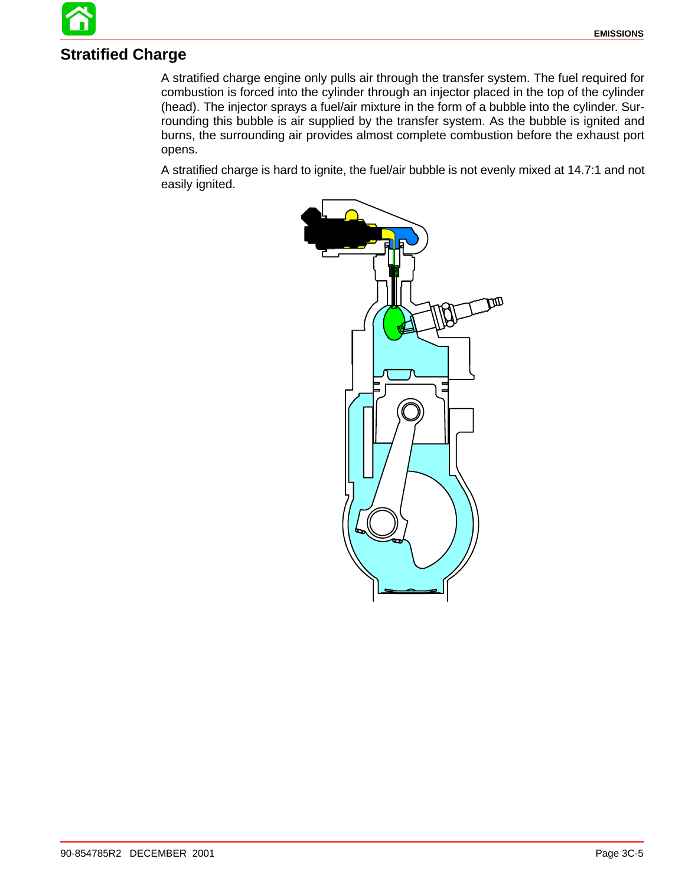# **Stratified Charge**

A stratified charge engine only pulls air through the transfer system. The fuel required for combustion is forced into the cylinder through an injector placed in the top of the cylinder (head). The injector sprays a fuel/air mixture in the form of a bubble into the cylinder. Surrounding this bubble is air supplied by the transfer system. As the bubble is ignited and burns, the surrounding air provides almost complete combustion before the exhaust port opens.

A stratified charge is hard to ignite, the fuel/air bubble is not evenly mixed at 14.7:1 and not easily ignited.

![](_page_4_Picture_4.jpeg)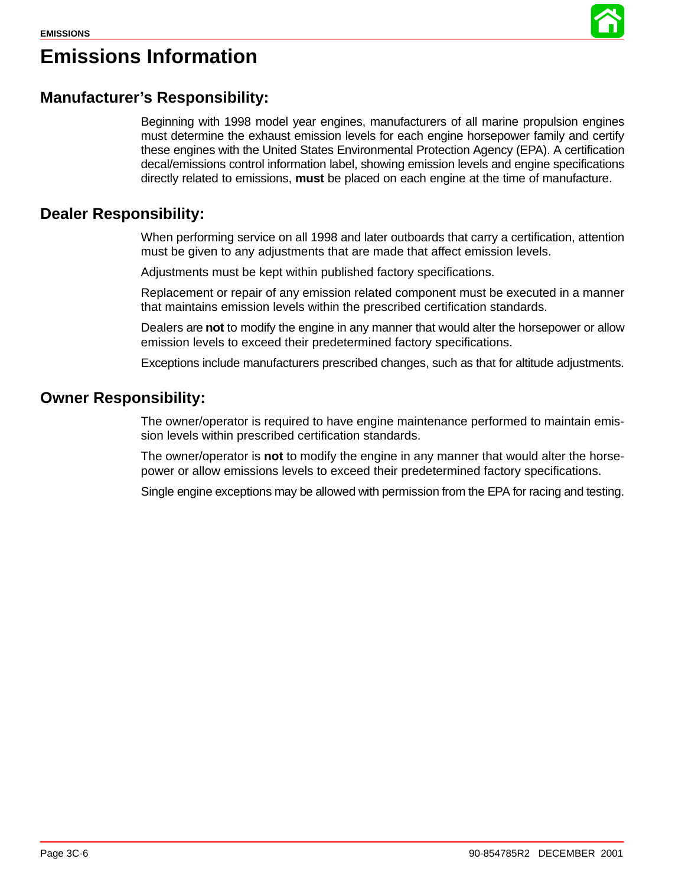![](_page_5_Picture_1.jpeg)

# **Emissions Information**

### **Manufacturer's Responsibility:**

Beginning with 1998 model year engines, manufacturers of all marine propulsion engines must determine the exhaust emission levels for each engine horsepower family and certify these engines with the United States Environmental Protection Agency (EPA). A certification decal/emissions control information label, showing emission levels and engine specifications directly related to emissions, **must** be placed on each engine at the time of manufacture.

### **Dealer Responsibility:**

When performing service on all 1998 and later outboards that carry a certification, attention must be given to any adjustments that are made that affect emission levels.

Adjustments must be kept within published factory specifications.

Replacement or repair of any emission related component must be executed in a manner that maintains emission levels within the prescribed certification standards.

Dealers are **not** to modify the engine in any manner that would alter the horsepower or allow emission levels to exceed their predetermined factory specifications.

Exceptions include manufacturers prescribed changes, such as that for altitude adjustments.

### **Owner Responsibility:**

The owner/operator is required to have engine maintenance performed to maintain emission levels within prescribed certification standards.

The owner/operator is **not** to modify the engine in any manner that would alter the horsepower or allow emissions levels to exceed their predetermined factory specifications.

Single engine exceptions may be allowed with permission from the EPA for racing and testing.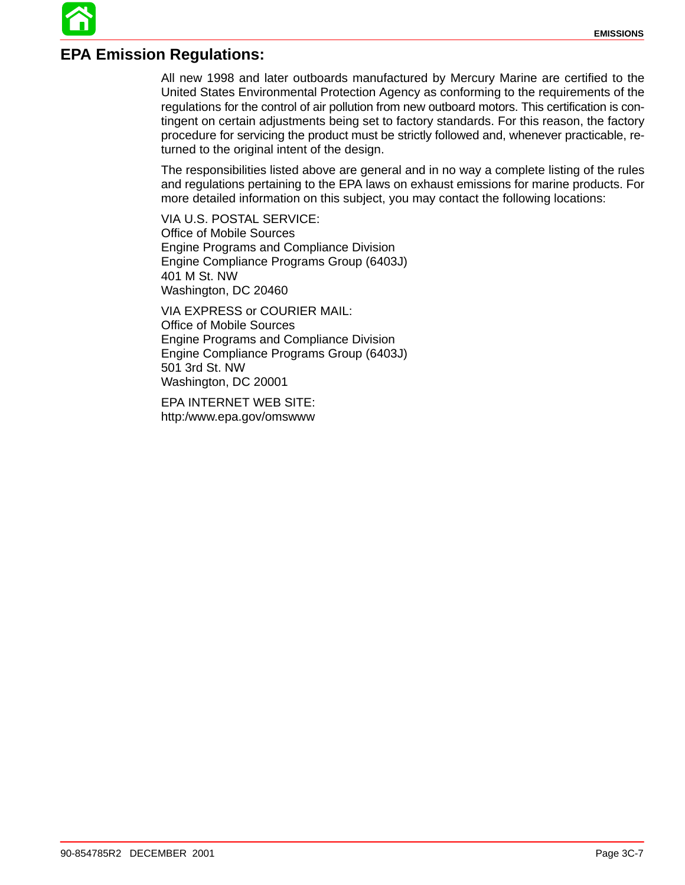### **EPA Emission Regulations:**

All new 1998 and later outboards manufactured by Mercury Marine are certified to the United States Environmental Protection Agency as conforming to the requirements of the regulations for the control of air pollution from new outboard motors. This certification is contingent on certain adjustments being set to factory standards. For this reason, the factory procedure for servicing the product must be strictly followed and, whenever practicable, returned to the original intent of the design.

The responsibilities listed above are general and in no way a complete listing of the rules and regulations pertaining to the EPA laws on exhaust emissions for marine products. For more detailed information on this subject, you may contact the following locations:

VIA U.S. POSTAL SERVICE: Office of Mobile Sources Engine Programs and Compliance Division Engine Compliance Programs Group (6403J) 401 M St. NW Washington, DC 20460

VIA EXPRESS or COURIER MAIL: Office of Mobile Sources Engine Programs and Compliance Division Engine Compliance Programs Group (6403J) 501 3rd St. NW Washington, DC 20001

EPA INTERNET WEB SITE: http:/www.epa.gov/omswww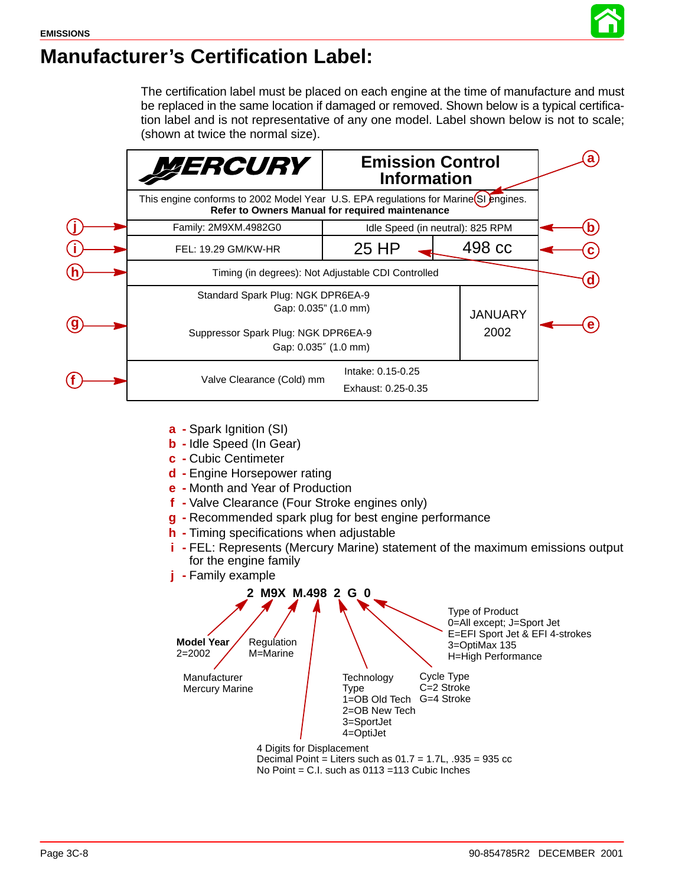![](_page_7_Picture_1.jpeg)

# **Manufacturer's Certification Label:**

The certification label must be placed on each engine at the time of manufacture and must be replaced in the same location if damaged or removed. Shown below is a typical certification label and is not representative of any one model. Label shown below is not to scale; (shown at twice the normal size).

![](_page_7_Figure_4.jpeg)

- **a -** Spark Ignition (SI)
- **b -** Idle Speed (In Gear)
- **c -** Cubic Centimeter
- **d -** Engine Horsepower rating
- **e -** Month and Year of Production
- **f -** Valve Clearance (Four Stroke engines only)
- **g -** Recommended spark plug for best engine performance
- **h -** Timing specifications when adjustable
- **i -** FEL: Represents (Mercury Marine) statement of the maximum emissions output for the engine family
- **j -** Family example

![](_page_7_Figure_15.jpeg)

No Point = C.I. such as 0113 =113 Cubic Inches